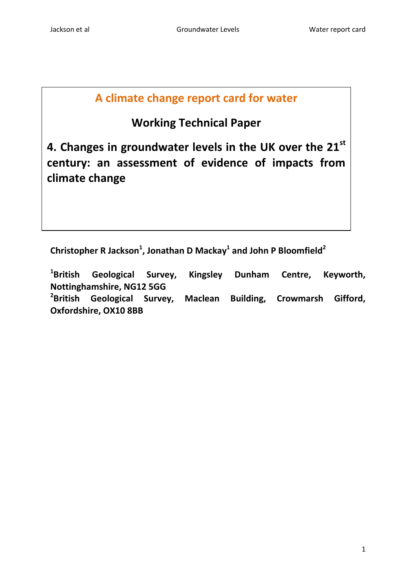# **A climate change report card for water**

# **Working Technical Paper**

**4. Changes in groundwater levels in the UK over the 21st century: an assessment of evidence of impacts from climate change**

**Christopher R Jackson<sup>1</sup> , Jonathan D Mackay<sup>1</sup> and John P Bloomfield<sup>2</sup>**

<sup>1</sup>British Geological Survey, Kingsley Dunham Centre, Keyworth, **Nottinghamshire, NG12 5GG** <sup>2</sup>British **British Geological Survey, Maclean Building, Crowmarsh Gifford, Oxfordshire, OX10 8BB**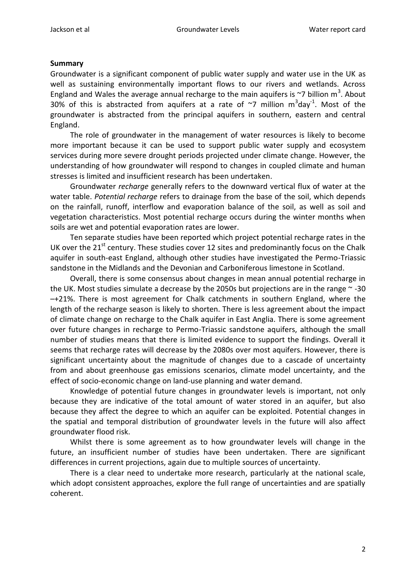#### **Summary**

Groundwater is a significant component of public water supply and water use in the UK as well as sustaining environmentally important flows to our rivers and wetlands. Across England and Wales the average annual recharge to the main aquifers is  $\sim$ 7 billion m<sup>3</sup>. About 30% of this is abstracted from aquifers at a rate of  $\sim$ 7 million m<sup>3</sup>day<sup>-1</sup>. Most of the groundwater is abstracted from the principal aquifers in southern, eastern and central England.

The role of groundwater in the management of water resources is likely to become more important because it can be used to support public water supply and ecosystem services during more severe drought periods projected under climate change. However, the understanding of how groundwater will respond to changes in coupled climate and human stresses is limited and insufficient research has been undertaken.

Groundwater *recharge* generally refers to the downward vertical flux of water at the water table. *Potential recharge* refers to drainage from the base of the soil, which depends on the rainfall, runoff, interflow and evaporation balance of the soil, as well as soil and vegetation characteristics. Most potential recharge occurs during the winter months when soils are wet and potential evaporation rates are lower.

Ten separate studies have been reported which project potential recharge rates in the UK over the 21<sup>st</sup> century. These studies cover 12 sites and predominantly focus on the Chalk aquifer in south-east England, although other studies have investigated the Permo-Triassic sandstone in the Midlands and the Devonian and Carboniferous limestone in Scotland.

Overall, there is some consensus about changes in mean annual potential recharge in the UK. Most studies simulate a decrease by the 2050s but projections are in the range  $\sim$  -30 –+21%. There is most agreement for Chalk catchments in southern England, where the length of the recharge season is likely to shorten. There is less agreement about the impact of climate change on recharge to the Chalk aquifer in East Anglia. There is some agreement over future changes in recharge to Permo-Triassic sandstone aquifers, although the small number of studies means that there is limited evidence to support the findings. Overall it seems that recharge rates will decrease by the 2080s over most aquifers. However, there is significant uncertainty about the magnitude of changes due to a cascade of uncertainty from and about greenhouse gas emissions scenarios, climate model uncertainty, and the effect of socio-economic change on land-use planning and water demand.

Knowledge of potential future changes in groundwater levels is important, not only because they are indicative of the total amount of water stored in an aquifer, but also because they affect the degree to which an aquifer can be exploited. Potential changes in the spatial and temporal distribution of groundwater levels in the future will also affect groundwater flood risk.

Whilst there is some agreement as to how groundwater levels will change in the future, an insufficient number of studies have been undertaken. There are significant differences in current projections, again due to multiple sources of uncertainty.

There is a clear need to undertake more research, particularly at the national scale, which adopt consistent approaches, explore the full range of uncertainties and are spatially coherent.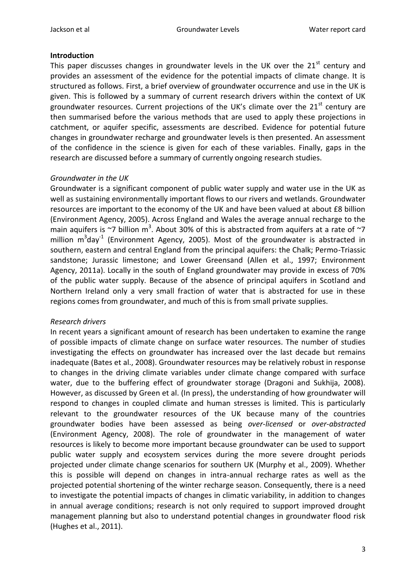# **Introduction**

This paper discusses changes in groundwater levels in the UK over the  $21<sup>st</sup>$  century and provides an assessment of the evidence for the potential impacts of climate change. It is structured as follows. First, a brief overview of groundwater occurrence and use in the UK is given. This is followed by a summary of current research drivers within the context of UK groundwater resources. Current projections of the UK's climate over the  $21<sup>st</sup>$  century are then summarised before the various methods that are used to apply these projections in catchment, or aquifer specific, assessments are described. Evidence for potential future changes in groundwater recharge and groundwater levels is then presented. An assessment of the confidence in the science is given for each of these variables. Finally, gaps in the research are discussed before a summary of currently ongoing research studies.

# *Groundwater in the UK*

Groundwater is a significant component of public water supply and water use in the UK as well as sustaining environmentally important flows to our rivers and wetlands. Groundwater resources are important to the economy of the UK and have been valued at about £8 billion (Environment Agency, 2005). Across England and Wales the average annual recharge to the main aquifers is  $\sim$ 7 billion m<sup>3</sup>. About 30% of this is abstracted from aquifers at a rate of  $\sim$ 7 million  $m^3$ day<sup>-1</sup> (Environment Agency, 2005). Most of the groundwater is abstracted in southern, eastern and central England from the principal aquifers: the Chalk; Permo-Triassic sandstone; Jurassic limestone; and Lower Greensand (Allen et al., 1997; Environment Agency, 2011a). Locally in the south of England groundwater may provide in excess of 70% of the public water supply. Because of the absence of principal aquifers in Scotland and Northern Ireland only a very small fraction of water that is abstracted for use in these regions comes from groundwater, and much of this is from small private supplies.

# *Research drivers*

In recent years a significant amount of research has been undertaken to examine the range of possible impacts of climate change on surface water resources. The number of studies investigating the effects on groundwater has increased over the last decade but remains inadequate (Bates et al., 2008). Groundwater resources may be relatively robust in response to changes in the driving climate variables under climate change compared with surface water, due to the buffering effect of groundwater storage (Dragoni and Sukhija, 2008). However, as discussed by Green et al. (In press), the understanding of how groundwater will respond to changes in coupled climate and human stresses is limited. This is particularly relevant to the groundwater resources of the UK because many of the countries groundwater bodies have been assessed as being *over-licensed* or *over-abstracted* (Environment Agency, 2008). The role of groundwater in the management of water resources is likely to become more important because groundwater can be used to support public water supply and ecosystem services during the more severe drought periods projected under climate change scenarios for southern UK (Murphy et al., 2009). Whether this is possible will depend on changes in intra-annual recharge rates as well as the projected potential shortening of the winter recharge season. Consequently, there is a need to investigate the potential impacts of changes in climatic variability, in addition to changes in annual average conditions; research is not only required to support improved drought management planning but also to understand potential changes in groundwater flood risk (Hughes et al., 2011).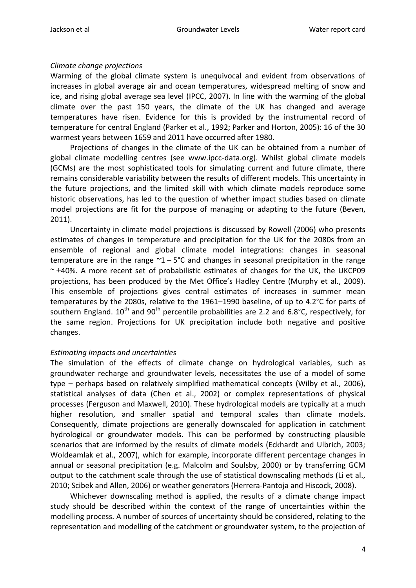# *Climate change projections*

Warming of the global climate system is unequivocal and evident from observations of increases in global average air and ocean temperatures, widespread melting of snow and ice, and rising global average sea level (IPCC, 2007). In line with the warming of the global climate over the past 150 years, the climate of the UK has changed and average temperatures have risen. Evidence for this is provided by the instrumental record of temperature for central England (Parker et al., 1992; Parker and Horton, 2005): 16 of the 30 warmest years between 1659 and 2011 have occurred after 1980.

Projections of changes in the climate of the UK can be obtained from a number of global climate modelling centres (see www.ipcc-data.org). Whilst global climate models (GCMs) are the most sophisticated tools for simulating current and future climate, there remains considerable variability between the results of different models. This uncertainty in the future projections, and the limited skill with which climate models reproduce some historic observations, has led to the question of whether impact studies based on climate model projections are fit for the purpose of managing or adapting to the future (Beven, 2011).

Uncertainty in climate model projections is discussed by Rowell (2006) who presents estimates of changes in temperature and precipitation for the UK for the 2080s from an ensemble of regional and global climate model integrations: changes in seasonal temperature are in the range  $\gamma$ 1 – 5°C and changes in seasonal precipitation in the range  $~\sim$   $\pm$ 40%. A more recent set of probabilistic estimates of changes for the UK, the UKCP09 projections, has been produced by the Met Office's Hadley Centre (Murphy et al., 2009). This ensemble of projections gives central estimates of increases in summer mean temperatures by the 2080s, relative to the 1961–1990 baseline, of up to 4.2°C for parts of southern England.  $10^{th}$  and  $90^{th}$  percentile probabilities are 2.2 and 6.8°C, respectively, for the same region. Projections for UK precipitation include both negative and positive changes.

# *Estimating impacts and uncertainties*

The simulation of the effects of climate change on hydrological variables, such as groundwater recharge and groundwater levels, necessitates the use of a model of some type – perhaps based on relatively simplified mathematical concepts (Wilby et al., 2006), statistical analyses of data (Chen et al., 2002) or complex representations of physical processes (Ferguson and Maxwell, 2010). These hydrological models are typically at a much higher resolution, and smaller spatial and temporal scales than climate models. Consequently, climate projections are generally downscaled for application in catchment hydrological or groundwater models. This can be performed by constructing plausible scenarios that are informed by the results of climate models (Eckhardt and Ulbrich, 2003; Woldeamlak et al., 2007), which for example, incorporate different percentage changes in annual or seasonal precipitation (e.g. Malcolm and Soulsby, 2000) or by transferring GCM output to the catchment scale through the use of statistical downscaling methods (Li et al., 2010; Scibek and Allen, 2006) or weather generators (Herrera-Pantoja and Hiscock, 2008).

Whichever downscaling method is applied, the results of a climate change impact study should be described within the context of the range of uncertainties within the modelling process. A number of sources of uncertainty should be considered, relating to the representation and modelling of the catchment or groundwater system, to the projection of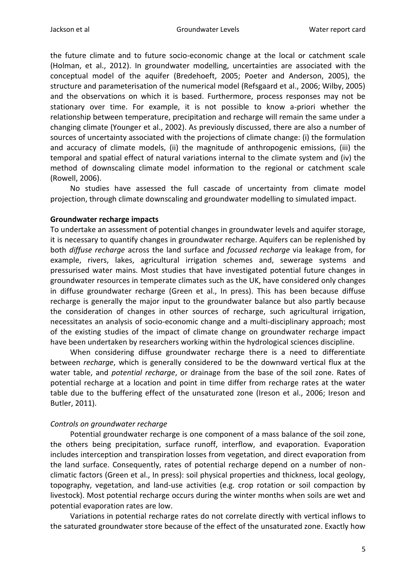the future climate and to future socio-economic change at the local or catchment scale (Holman, et al., 2012). In groundwater modelling, uncertainties are associated with the conceptual model of the aquifer (Bredehoeft, 2005; Poeter and Anderson, 2005), the structure and parameterisation of the numerical model (Refsgaard et al., 2006; Wilby, 2005) and the observations on which it is based. Furthermore, process responses may not be stationary over time. For example, it is not possible to know a-priori whether the relationship between temperature, precipitation and recharge will remain the same under a changing climate (Younger et al., 2002). As previously discussed, there are also a number of sources of uncertainty associated with the projections of climate change: (i) the formulation and accuracy of climate models, (ii) the magnitude of anthropogenic emissions, (iii) the temporal and spatial effect of natural variations internal to the climate system and (iv) the method of downscaling climate model information to the regional or catchment scale (Rowell, 2006).

No studies have assessed the full cascade of uncertainty from climate model projection, through climate downscaling and groundwater modelling to simulated impact.

#### **Groundwater recharge impacts**

To undertake an assessment of potential changes in groundwater levels and aquifer storage, it is necessary to quantify changes in groundwater recharge. Aquifers can be replenished by both *diffuse recharge* across the land surface and *focussed recharge* via leakage from, for example, rivers, lakes, agricultural irrigation schemes and, sewerage systems and pressurised water mains. Most studies that have investigated potential future changes in groundwater resources in temperate climates such as the UK, have considered only changes in diffuse groundwater recharge (Green et al., In press). This has been because diffuse recharge is generally the major input to the groundwater balance but also partly because the consideration of changes in other sources of recharge, such agricultural irrigation, necessitates an analysis of socio-economic change and a multi-disciplinary approach; most of the existing studies of the impact of climate change on groundwater recharge impact have been undertaken by researchers working within the hydrological sciences discipline.

When considering diffuse groundwater recharge there is a need to differentiate between *recharge*, which is generally considered to be the downward vertical flux at the water table, and *potential recharge*, or drainage from the base of the soil zone. Rates of potential recharge at a location and point in time differ from recharge rates at the water table due to the buffering effect of the unsaturated zone (Ireson et al., 2006; Ireson and Butler, 2011).

### *Controls on groundwater recharge*

Potential groundwater recharge is one component of a mass balance of the soil zone, the others being precipitation, surface runoff, interflow, and evaporation. Evaporation includes interception and transpiration losses from vegetation, and direct evaporation from the land surface. Consequently, rates of potential recharge depend on a number of nonclimatic factors (Green et al., In press): soil physical properties and thickness, local geology, topography, vegetation, and land-use activities (e.g. crop rotation or soil compaction by livestock). Most potential recharge occurs during the winter months when soils are wet and potential evaporation rates are low.

Variations in potential recharge rates do not correlate directly with vertical inflows to the saturated groundwater store because of the effect of the unsaturated zone. Exactly how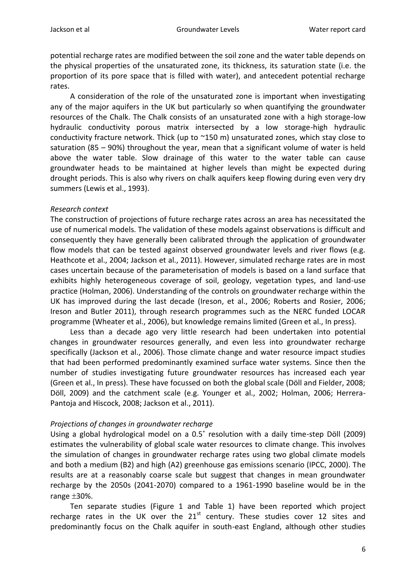potential recharge rates are modified between the soil zone and the water table depends on the physical properties of the unsaturated zone, its thickness, its saturation state (i.e. the proportion of its pore space that is filled with water), and antecedent potential recharge rates.

A consideration of the role of the unsaturated zone is important when investigating any of the major aquifers in the UK but particularly so when quantifying the groundwater resources of the Chalk. The Chalk consists of an unsaturated zone with a high storage-low hydraulic conductivity porous matrix intersected by a low storage-high hydraulic conductivity fracture network. Thick (up to ~150 m) unsaturated zones, which stay close to saturation (85 – 90%) throughout the year, mean that a significant volume of water is held above the water table. Slow drainage of this water to the water table can cause groundwater heads to be maintained at higher levels than might be expected during drought periods. This is also why rivers on chalk aquifers keep flowing during even very dry summers (Lewis et al., 1993).

# *Research context*

The construction of projections of future recharge rates across an area has necessitated the use of numerical models. The validation of these models against observations is difficult and consequently they have generally been calibrated through the application of groundwater flow models that can be tested against observed groundwater levels and river flows (e.g. Heathcote et al., 2004; Jackson et al., 2011). However, simulated recharge rates are in most cases uncertain because of the parameterisation of models is based on a land surface that exhibits highly heterogeneous coverage of soil, geology, vegetation types, and land-use practice (Holman, 2006). Understanding of the controls on groundwater recharge within the UK has improved during the last decade (Ireson, et al., 2006; Roberts and Rosier, 2006; Ireson and Butler 2011), through research programmes such as the NERC funded LOCAR programme (Wheater et al., 2006), but knowledge remains limited (Green et al., In press).

Less than a decade ago very little research had been undertaken into potential changes in groundwater resources generally, and even less into groundwater recharge specifically (Jackson et al., 2006). Those climate change and water resource impact studies that had been performed predominantly examined surface water systems. Since then the number of studies investigating future groundwater resources has increased each year (Green et al., In press). These have focussed on both the global scale (Döll and Fielder, 2008; Döll, 2009) and the catchment scale (e.g. Younger et al., 2002; Holman, 2006; Herrera-Pantoja and Hiscock, 2008; Jackson et al., 2011).

### *Projections of changes in groundwater recharge*

Using a global hydrological model on a 0.5˚ resolution with a daily time-step Döll (2009) estimates the vulnerability of global scale water resources to climate change. This involves the simulation of changes in groundwater recharge rates using two global climate models and both a medium (B2) and high (A2) greenhouse gas emissions scenario (IPCC, 2000). The results are at a reasonably coarse scale but suggest that changes in mean groundwater recharge by the 2050s (2041-2070) compared to a 1961-1990 baseline would be in the range  $\pm 30\%$ .

Ten separate studies (Figure 1 and Table 1) have been reported which project recharge rates in the UK over the  $21<sup>st</sup>$  century. These studies cover 12 sites and predominantly focus on the Chalk aquifer in south-east England, although other studies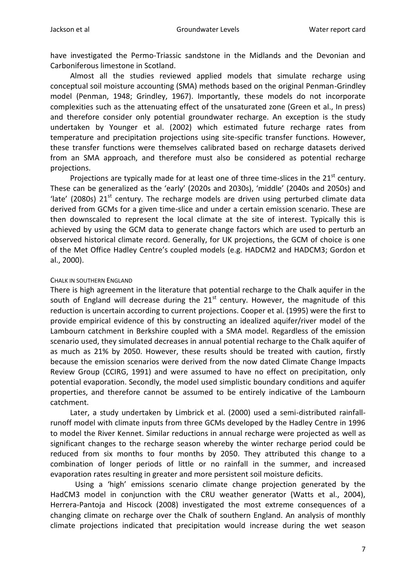have investigated the Permo-Triassic sandstone in the Midlands and the Devonian and Carboniferous limestone in Scotland.

Almost all the studies reviewed applied models that simulate recharge using conceptual soil moisture accounting (SMA) methods based on the original Penman-Grindley model (Penman, 1948; Grindley, 1967). Importantly, these models do not incorporate complexities such as the attenuating effect of the unsaturated zone (Green et al., In press) and therefore consider only potential groundwater recharge. An exception is the study undertaken by Younger et al. (2002) which estimated future recharge rates from temperature and precipitation projections using site-specific transfer functions. However, these transfer functions were themselves calibrated based on recharge datasets derived from an SMA approach, and therefore must also be considered as potential recharge projections.

Projections are typically made for at least one of three time-slices in the  $21<sup>st</sup>$  century. These can be generalized as the 'early' (2020s and 2030s), 'middle' (2040s and 2050s) and 'late' (2080s)  $21<sup>st</sup>$  century. The recharge models are driven using perturbed climate data derived from GCMs for a given time-slice and under a certain emission scenario. These are then downscaled to represent the local climate at the site of interest. Typically this is achieved by using the GCM data to generate change factors which are used to perturb an observed historical climate record. Generally, for UK projections, the GCM of choice is one of the Met Office Hadley Centre's coupled models (e.g. HADCM2 and HADCM3; Gordon et al., 2000).

#### CHALK IN SOUTHERN ENGLAND

There is high agreement in the literature that potential recharge to the Chalk aquifer in the south of England will decrease during the  $21<sup>st</sup>$  century. However, the magnitude of this reduction is uncertain according to current projections. Cooper et al. (1995) were the first to provide empirical evidence of this by constructing an idealized aquifer/river model of the Lambourn catchment in Berkshire coupled with a SMA model. Regardless of the emission scenario used, they simulated decreases in annual potential recharge to the Chalk aquifer of as much as 21% by 2050. However, these results should be treated with caution, firstly because the emission scenarios were derived from the now dated Climate Change Impacts Review Group (CCIRG, 1991) and were assumed to have no effect on precipitation, only potential evaporation. Secondly, the model used simplistic boundary conditions and aquifer properties, and therefore cannot be assumed to be entirely indicative of the Lambourn catchment.

Later, a study undertaken by Limbrick et al. (2000) used a semi-distributed rainfallrunoff model with climate inputs from three GCMs developed by the Hadley Centre in 1996 to model the River Kennet. Similar reductions in annual recharge were projected as well as significant changes to the recharge season whereby the winter recharge period could be reduced from six months to four months by 2050. They attributed this change to a combination of longer periods of little or no rainfall in the summer, and increased evaporation rates resulting in greater and more persistent soil moisture deficits.

Using a 'high' emissions scenario climate change projection generated by the HadCM3 model in conjunction with the CRU weather generator (Watts et al., 2004), Herrera-Pantoja and Hiscock (2008) investigated the most extreme consequences of a changing climate on recharge over the Chalk of southern England. An analysis of monthly climate projections indicated that precipitation would increase during the wet season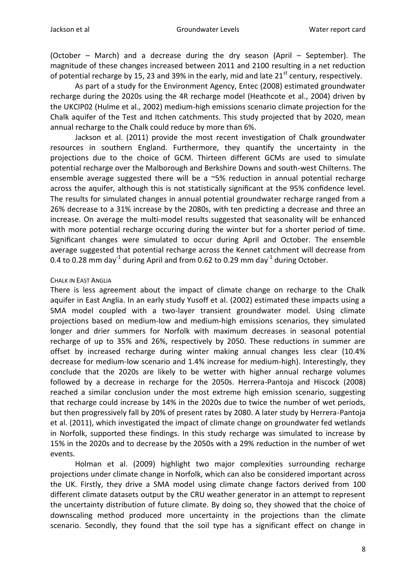(October – March) and a decrease during the dry season (April – September). The magnitude of these changes increased between 2011 and 2100 resulting in a net reduction of potential recharge by 15, 23 and 39% in the early, mid and late  $21<sup>st</sup>$  century, respectively.

As part of a study for the Environment Agency, Entec (2008) estimated groundwater recharge during the 2020s using the 4R recharge model (Heathcote et al., 2004) driven by the UKCIP02 (Hulme et al., 2002) medium-high emissions scenario climate projection for the Chalk aquifer of the Test and Itchen catchments. This study projected that by 2020, mean annual recharge to the Chalk could reduce by more than 6%.

Jackson et al. (2011) provide the most recent investigation of Chalk groundwater resources in southern England. Furthermore, they quantify the uncertainty in the projections due to the choice of GCM. Thirteen different GCMs are used to simulate potential recharge over the Malborough and Berkshire Downs and south-west Chilterns. The ensemble average suggested there will be a ~5% reduction in annual potential recharge across the aquifer, although this is not statistically significant at the 95% confidence level. The results for simulated changes in annual potential groundwater recharge ranged from a 26% decrease to a 31% increase by the 2080s, with ten predicting a decrease and three an increase. On average the multi-model results suggested that seasonality will be enhanced with more potential recharge occuring during the winter but for a shorter period of time. Significant changes were simulated to occur during April and October. The ensemble average suggested that potential recharge across the Kennet catchment will decrease from 0.4 to 0.28 mm day<sup>-1</sup> during April and from 0.62 to 0.29 mm day<sup>-1</sup> during October.

#### CHALK IN EAST ANGLIA

There is less agreement about the impact of climate change on recharge to the Chalk aquifer in East Anglia. In an early study Yusoff et al. (2002) estimated these impacts using a SMA model coupled with a two-layer transient groundwater model. Using climate projections based on medium-low and medium-high emissions scenarios, they simulated longer and drier summers for Norfolk with maximum decreases in seasonal potential recharge of up to 35% and 26%, respectively by 2050. These reductions in summer are offset by increased recharge during winter making annual changes less clear (10.4% decrease for medium-low scenario and 1.4% increase for medium-high). Interestingly, they conclude that the 2020s are likely to be wetter with higher annual recharge volumes followed by a decrease in recharge for the 2050s. Herrera-Pantoja and Hiscock (2008) reached a similar conclusion under the most extreme high emission scenario, suggesting that recharge could increase by 14% in the 2020s due to twice the number of wet periods, but then progressively fall by 20% of present rates by 2080. A later study by Herrera-Pantoja et al. (2011), which investigated the impact of climate change on groundwater fed wetlands in Norfolk, supported these findings. In this study recharge was simulated to increase by 15% in the 2020s and to decrease by the 2050s with a 29% reduction in the number of wet events.

Holman et al. (2009) highlight two major complexities surrounding recharge projections under climate change in Norfolk, which can also be considered important across the UK. Firstly, they drive a SMA model using climate change factors derived from 100 different climate datasets output by the CRU weather generator in an attempt to represent the uncertainty distribution of future climate. By doing so, they showed that the choice of downscaling method produced more uncertainty in the projections than the climate scenario. Secondly, they found that the soil type has a significant effect on change in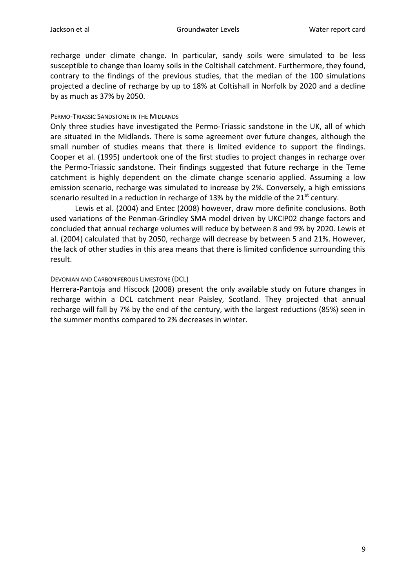recharge under climate change. In particular, sandy soils were simulated to be less susceptible to change than loamy soils in the Coltishall catchment. Furthermore, they found, contrary to the findings of the previous studies, that the median of the 100 simulations projected a decline of recharge by up to 18% at Coltishall in Norfolk by 2020 and a decline by as much as 37% by 2050.

#### PERMO-TRIASSIC SANDSTONE IN THE MIDLANDS

Only three studies have investigated the Permo-Triassic sandstone in the UK, all of which are situated in the Midlands. There is some agreement over future changes, although the small number of studies means that there is limited evidence to support the findings. Cooper et al. (1995) undertook one of the first studies to project changes in recharge over the Permo-Triassic sandstone. Their findings suggested that future recharge in the Teme catchment is highly dependent on the climate change scenario applied. Assuming a low emission scenario, recharge was simulated to increase by 2%. Conversely, a high emissions scenario resulted in a reduction in recharge of 13% by the middle of the  $21<sup>st</sup>$  century.

Lewis et al. (2004) and Entec (2008) however, draw more definite conclusions. Both used variations of the Penman-Grindley SMA model driven by UKCIP02 change factors and concluded that annual recharge volumes will reduce by between 8 and 9% by 2020. Lewis et al. (2004) calculated that by 2050, recharge will decrease by between 5 and 21%. However, the lack of other studies in this area means that there is limited confidence surrounding this result.

### DEVONIAN AND CARBONIFEROUS LIMESTONE (DCL)

Herrera-Pantoja and Hiscock (2008) present the only available study on future changes in recharge within a DCL catchment near Paisley, Scotland. They projected that annual recharge will fall by 7% by the end of the century, with the largest reductions (85%) seen in the summer months compared to 2% decreases in winter.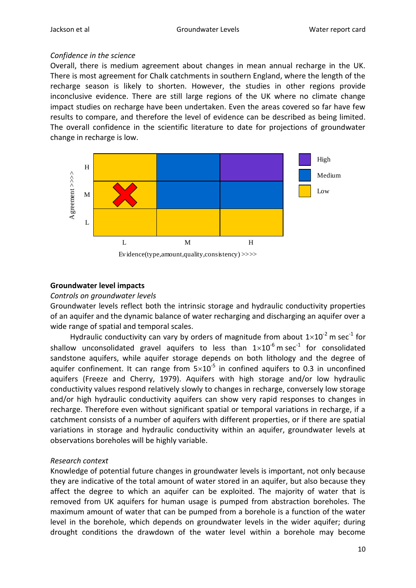# *Confidence in the science*

Overall, there is medium agreement about changes in mean annual recharge in the UK. There is most agreement for Chalk catchments in southern England, where the length of the recharge season is likely to shorten. However, the studies in other regions provide inconclusive evidence. There are still large regions of the UK where no climate change impact studies on recharge have been undertaken. Even the areas covered so far have few results to compare, and therefore the level of evidence can be described as being limited. The overall confidence in the scientific literature to date for projections of groundwater change in recharge is low.



Evidence(type,amount,quality,consistency) >>>>

#### **Groundwater level impacts**

#### *Controls on groundwater levels*

Groundwater levels reflect both the intrinsic storage and hydraulic conductivity properties of an aquifer and the dynamic balance of water recharging and discharging an aquifer over a wide range of spatial and temporal scales.

Hydraulic conductivity can vary by orders of magnitude from about  $1\times10^{-2}$  m sec<sup>-1</sup> for shallow unconsolidated gravel aquifers to less than  $1\times10^{-6}$  m sec<sup>-1</sup> for consolidated sandstone aquifers, while aquifer storage depends on both lithology and the degree of aquifer confinement. It can range from  $5\times10^{-5}$  in confined aquifers to 0.3 in unconfined aquifers (Freeze and Cherry, 1979). Aquifers with high storage and/or low hydraulic conductivity values respond relatively slowly to changes in recharge, conversely low storage and/or high hydraulic conductivity aquifers can show very rapid responses to changes in recharge. Therefore even without significant spatial or temporal variations in recharge, if a catchment consists of a number of aquifers with different properties, or if there are spatial variations in storage and hydraulic conductivity within an aquifer, groundwater levels at observations boreholes will be highly variable.

### *Research context*

Knowledge of potential future changes in groundwater levels is important, not only because they are indicative of the total amount of water stored in an aquifer, but also because they affect the degree to which an aquifer can be exploited. The majority of water that is removed from UK aquifers for human usage is pumped from abstraction boreholes. The maximum amount of water that can be pumped from a borehole is a function of the water level in the borehole, which depends on groundwater levels in the wider aquifer; during drought conditions the drawdown of the water level within a borehole may become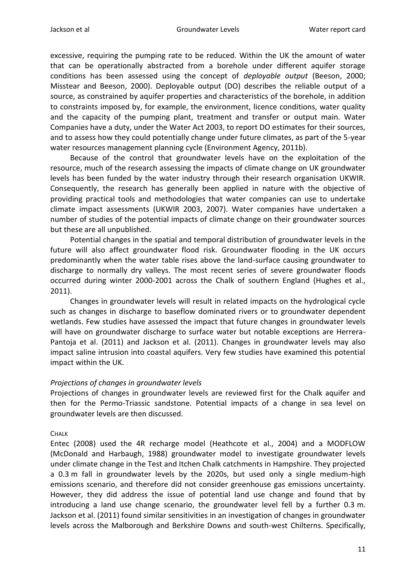excessive, requiring the pumping rate to be reduced. Within the UK the amount of water that can be operationally abstracted from a borehole under different aquifer storage conditions has been assessed using the concept of *deployable output* (Beeson, 2000; Misstear and Beeson, 2000). Deployable output (DO) describes the reliable output of a source, as constrained by aquifer properties and characteristics of the borehole, in addition to constraints imposed by, for example, the environment, licence conditions, water quality and the capacity of the pumping plant, treatment and transfer or output main. Water Companies have a duty, under the Water Act 2003, to report DO estimates for their sources, and to assess how they could potentially change under future climates, as part of the 5-year water resources management planning cycle (Environment Agency, 2011b).

Because of the control that groundwater levels have on the exploitation of the resource, much of the research assessing the impacts of climate change on UK groundwater levels has been funded by the water industry through their research organisation UKWIR. Consequently, the research has generally been applied in nature with the objective of providing practical tools and methodologies that water companies can use to undertake climate impact assessments (UKWIR 2003, 2007). Water companies have undertaken a number of studies of the potential impacts of climate change on their groundwater sources but these are all unpublished.

Potential changes in the spatial and temporal distribution of groundwater levels in the future will also affect groundwater flood risk. Groundwater flooding in the UK occurs predominantly when the water table rises above the land-surface causing groundwater to discharge to normally dry valleys. The most recent series of severe groundwater floods occurred during winter 2000-2001 across the Chalk of southern England (Hughes et al., 2011).

Changes in groundwater levels will result in related impacts on the hydrological cycle such as changes in discharge to baseflow dominated rivers or to groundwater dependent wetlands. Few studies have assessed the impact that future changes in groundwater levels will have on groundwater discharge to surface water but notable exceptions are Herrera-Pantoja et al. (2011) and Jackson et al. (2011). Changes in groundwater levels may also impact saline intrusion into coastal aquifers. Very few studies have examined this potential impact within the UK.

### *Projections of changes in groundwater levels*

Projections of changes in groundwater levels are reviewed first for the Chalk aquifer and then for the Permo-Triassic sandstone. Potential impacts of a change in sea level on groundwater levels are then discussed.

### **CHALK**

Entec (2008) used the 4R recharge model (Heathcote et al., 2004) and a MODFLOW (McDonald and Harbaugh, 1988) groundwater model to investigate groundwater levels under climate change in the Test and Itchen Chalk catchments in Hampshire. They projected a 0.3 m fall in groundwater levels by the 2020s, but used only a single medium-high emissions scenario, and therefore did not consider greenhouse gas emissions uncertainty. However, they did address the issue of potential land use change and found that by introducing a land use change scenario, the groundwater level fell by a further 0.3 m. Jackson et al. (2011) found similar sensitivities in an investigation of changes in groundwater levels across the Malborough and Berkshire Downs and south-west Chilterns. Specifically,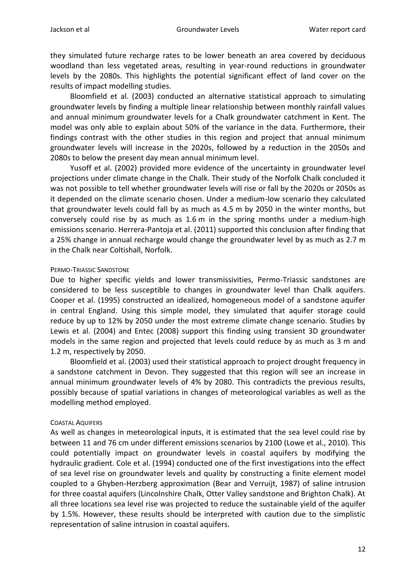they simulated future recharge rates to be lower beneath an area covered by deciduous woodland than less vegetated areas, resulting in year-round reductions in groundwater levels by the 2080s. This highlights the potential significant effect of land cover on the results of impact modelling studies.

Bloomfield et al. (2003) conducted an alternative statistical approach to simulating groundwater levels by finding a multiple linear relationship between monthly rainfall values and annual minimum groundwater levels for a Chalk groundwater catchment in Kent. The model was only able to explain about 50% of the variance in the data. Furthermore, their findings contrast with the other studies in this region and project that annual minimum groundwater levels will increase in the 2020s, followed by a reduction in the 2050s and 2080s to below the present day mean annual minimum level.

Yusoff et al. (2002) provided more evidence of the uncertainty in groundwater level projections under climate change in the Chalk. Their study of the Norfolk Chalk concluded it was not possible to tell whether groundwater levels will rise or fall by the 2020s or 2050s as it depended on the climate scenario chosen. Under a medium-low scenario they calculated that groundwater levels could fall by as much as 4.5 m by 2050 in the winter months, but conversely could rise by as much as 1.6 m in the spring months under a medium-high emissions scenario. Herrera-Pantoja et al. (2011) supported this conclusion after finding that a 25% change in annual recharge would change the groundwater level by as much as 2.7 m in the Chalk near Coltishall, Norfolk.

#### PERMO-TRIASSIC SANDSTONE

Due to higher specific yields and lower transmissivities, Permo-Triassic sandstones are considered to be less susceptible to changes in groundwater level than Chalk aquifers. Cooper et al. (1995) constructed an idealized, homogeneous model of a sandstone aquifer in central England. Using this simple model, they simulated that aquifer storage could reduce by up to 12% by 2050 under the most extreme climate change scenario. Studies by Lewis et al. (2004) and Entec (2008) support this finding using transient 3D groundwater models in the same region and projected that levels could reduce by as much as 3 m and 1.2 m, respectively by 2050.

Bloomfield et al. (2003) used their statistical approach to project drought frequency in a sandstone catchment in Devon. They suggested that this region will see an increase in annual minimum groundwater levels of 4% by 2080. This contradicts the previous results, possibly because of spatial variations in changes of meteorological variables as well as the modelling method employed.

#### COASTAL AQUIFERS

As well as changes in meteorological inputs, it is estimated that the sea level could rise by between 11 and 76 cm under different emissions scenarios by 2100 (Lowe et al., 2010). This could potentially impact on groundwater levels in coastal aquifers by modifying the hydraulic gradient. Cole et al. (1994) conducted one of the first investigations into the effect of sea level rise on groundwater levels and quality by constructing a finite element model coupled to a Ghyben-Herzberg approximation (Bear and Verruijt, 1987) of saline intrusion for three coastal aquifers (Lincolnshire Chalk, Otter Valley sandstone and Brighton Chalk). At all three locations sea level rise was projected to reduce the sustainable yield of the aquifer by 1.5%. However, these results should be interpreted with caution due to the simplistic representation of saline intrusion in coastal aquifers.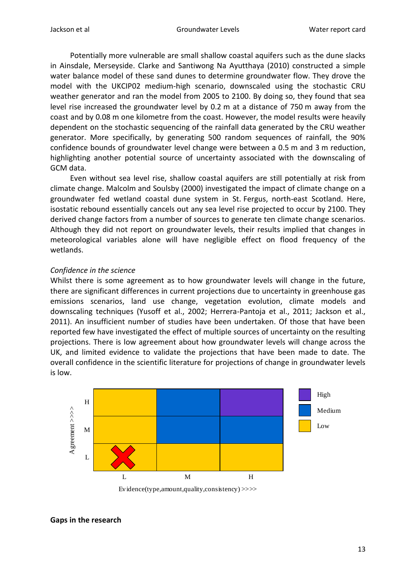Potentially more vulnerable are small shallow coastal aquifers such as the dune slacks in Ainsdale, Merseyside. Clarke and Santiwong Na Ayutthaya (2010) constructed a simple water balance model of these sand dunes to determine groundwater flow. They drove the model with the UKCIP02 medium-high scenario, downscaled using the stochastic CRU weather generator and ran the model from 2005 to 2100. By doing so, they found that sea level rise increased the groundwater level by 0.2 m at a distance of 750 m away from the coast and by 0.08 m one kilometre from the coast. However, the model results were heavily dependent on the stochastic sequencing of the rainfall data generated by the CRU weather generator. More specifically, by generating 500 random sequences of rainfall, the 90% confidence bounds of groundwater level change were between a 0.5 m and 3 m reduction, highlighting another potential source of uncertainty associated with the downscaling of GCM data.

Even without sea level rise, shallow coastal aquifers are still potentially at risk from climate change. Malcolm and Soulsby (2000) investigated the impact of climate change on a groundwater fed wetland coastal dune system in St. Fergus, north-east Scotland. Here, isostatic rebound essentially cancels out any sea level rise projected to occur by 2100. They derived change factors from a number of sources to generate ten climate change scenarios. Although they did not report on groundwater levels, their results implied that changes in meteorological variables alone will have negligible effect on flood frequency of the wetlands.

### *Confidence in the science*

Whilst there is some agreement as to how groundwater levels will change in the future, there are significant differences in current projections due to uncertainty in greenhouse gas emissions scenarios, land use change, vegetation evolution, climate models and downscaling techniques (Yusoff et al., 2002; Herrera-Pantoja et al., 2011; Jackson et al., 2011). An insufficient number of studies have been undertaken. Of those that have been reported few have investigated the effect of multiple sources of uncertainty on the resulting projections. There is low agreement about how groundwater levels will change across the UK, and limited evidence to validate the projections that have been made to date. The overall confidence in the scientific literature for projections of change in groundwater levels is low.



#### **Gaps in the research**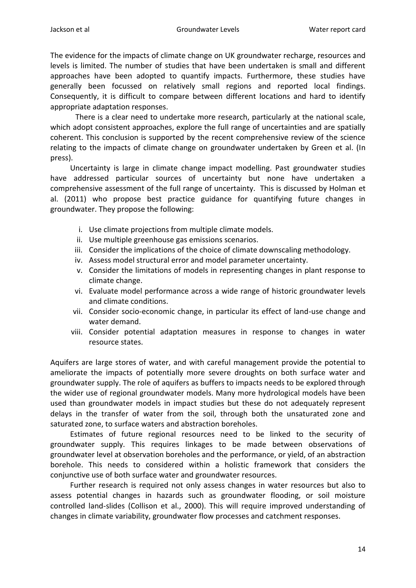The evidence for the impacts of climate change on UK groundwater recharge, resources and levels is limited. The number of studies that have been undertaken is small and different approaches have been adopted to quantify impacts. Furthermore, these studies have generally been focussed on relatively small regions and reported local findings. Consequently, it is difficult to compare between different locations and hard to identify appropriate adaptation responses.

There is a clear need to undertake more research, particularly at the national scale, which adopt consistent approaches, explore the full range of uncertainties and are spatially coherent. This conclusion is supported by the recent comprehensive review of the science relating to the impacts of climate change on groundwater undertaken by Green et al. (In press).

Uncertainty is large in climate change impact modelling. Past groundwater studies have addressed particular sources of uncertainty but none have undertaken a comprehensive assessment of the full range of uncertainty. This is discussed by Holman et al. (2011) who propose best practice guidance for quantifying future changes in groundwater. They propose the following:

- i. Use climate projections from multiple climate models.
- ii. Use multiple greenhouse gas emissions scenarios.
- iii. Consider the implications of the choice of climate downscaling methodology.
- iv. Assess model structural error and model parameter uncertainty.
- v. Consider the limitations of models in representing changes in plant response to climate change.
- vi. Evaluate model performance across a wide range of historic groundwater levels and climate conditions.
- vii. Consider socio-economic change, in particular its effect of land-use change and water demand.
- viii. Consider potential adaptation measures in response to changes in water resource states.

Aquifers are large stores of water, and with careful management provide the potential to ameliorate the impacts of potentially more severe droughts on both surface water and groundwater supply. The role of aquifers as buffers to impacts needs to be explored through the wider use of regional groundwater models. Many more hydrological models have been used than groundwater models in impact studies but these do not adequately represent delays in the transfer of water from the soil, through both the unsaturated zone and saturated zone, to surface waters and abstraction boreholes.

Estimates of future regional resources need to be linked to the security of groundwater supply. This requires linkages to be made between observations of groundwater level at observation boreholes and the performance, or yield, of an abstraction borehole. This needs to considered within a holistic framework that considers the conjunctive use of both surface water and groundwater resources.

Further research is required not only assess changes in water resources but also to assess potential changes in hazards such as groundwater flooding, or soil moisture controlled land-slides (Collison et al., 2000). This will require improved understanding of changes in climate variability, groundwater flow processes and catchment responses.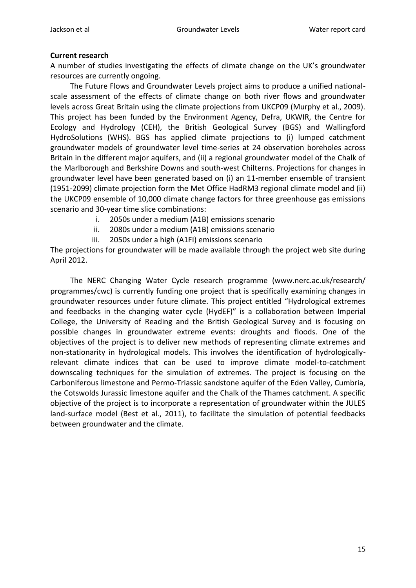# **Current research**

A number of studies investigating the effects of climate change on the UK's groundwater resources are currently ongoing.

The Future Flows and Groundwater Levels project aims to produce a unified nationalscale assessment of the effects of climate change on both river flows and groundwater levels across Great Britain using the climate projections from UKCP09 (Murphy et al., 2009). This project has been funded by the Environment Agency, Defra, UKWIR, the Centre for Ecology and Hydrology (CEH), the British Geological Survey (BGS) and Wallingford HydroSolutions (WHS). BGS has applied climate projections to (i) lumped catchment groundwater models of groundwater level time-series at 24 observation boreholes across Britain in the different major aquifers, and (ii) a regional groundwater model of the Chalk of the Marlborough and Berkshire Downs and south-west Chilterns. Projections for changes in groundwater level have been generated based on (i) an 11-member ensemble of transient (1951-2099) climate projection form the Met Office HadRM3 regional climate model and (ii) the UKCP09 ensemble of 10,000 climate change factors for three greenhouse gas emissions scenario and 30-year time slice combinations:

- i. 2050s under a medium (A1B) emissions scenario
- ii. 2080s under a medium (A1B) emissions scenario
- iii. 2050s under a high (A1FI) emissions scenario

The projections for groundwater will be made available through the project web site during April 2012.

The NERC Changing Water Cycle research programme (www.nerc.ac.uk/research/ programmes/cwc) is currently funding one project that is specifically examining changes in groundwater resources under future climate. This project entitled "Hydrological extremes and feedbacks in the changing water cycle (HydEF)" is a collaboration between Imperial College, the University of Reading and the British Geological Survey and is focusing on possible changes in groundwater extreme events: droughts and floods. One of the objectives of the project is to deliver new methods of representing climate extremes and non-stationarity in hydrological models. This involves the identification of hydrologicallyrelevant climate indices that can be used to improve climate model-to-catchment downscaling techniques for the simulation of extremes. The project is focusing on the Carboniferous limestone and Permo-Triassic sandstone aquifer of the Eden Valley, Cumbria, the Cotswolds Jurassic limestone aquifer and the Chalk of the Thames catchment. A specific objective of the project is to incorporate a representation of groundwater within the JULES land-surface model (Best et al., 2011), to facilitate the simulation of potential feedbacks between groundwater and the climate.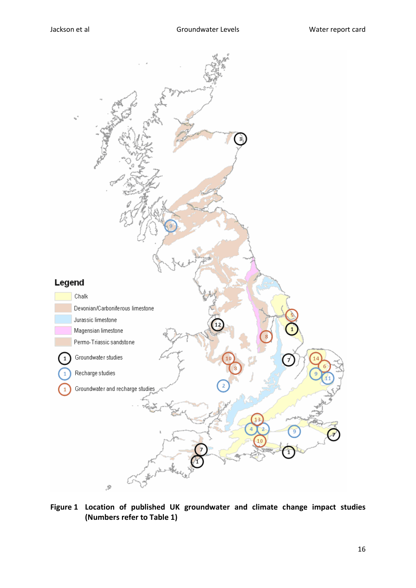

**Figure 1 Location of published UK groundwater and climate change impact studies (Numbers refer to Table 1)**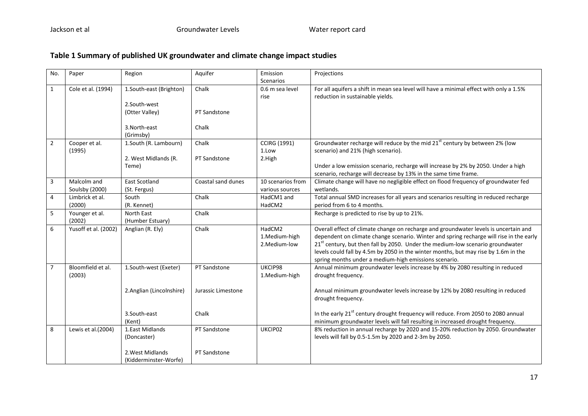# **Table 1 Summary of published UK groundwater and climate change impact studies**

| No.            | Paper                         | Region                                                    | Aquifer               | Emission<br><b>Scenarios</b>            | Projections                                                                                                                                                                                                                                                                                                                                                                                                         |
|----------------|-------------------------------|-----------------------------------------------------------|-----------------------|-----------------------------------------|---------------------------------------------------------------------------------------------------------------------------------------------------------------------------------------------------------------------------------------------------------------------------------------------------------------------------------------------------------------------------------------------------------------------|
| $\mathbf{1}$   | Cole et al. (1994)            | 1.South-east (Brighton)<br>2.South-west<br>(Otter Valley) | Chalk<br>PT Sandstone | 0.6 m sea level<br>rise                 | For all aquifers a shift in mean sea level will have a minimal effect with only a 1.5%<br>reduction in sustainable yields.                                                                                                                                                                                                                                                                                          |
|                |                               | 3. North-east<br>(Grimsby)                                | Chalk                 |                                         |                                                                                                                                                                                                                                                                                                                                                                                                                     |
| $\overline{2}$ | Cooper et al.<br>(1995)       | 1.South (R. Lambourn)<br>2. West Midlands (R.<br>Teme)    | Chalk<br>PT Sandstone | <b>CCIRG (1991)</b><br>1.Low<br>2.High  | Groundwater recharge will reduce by the mid 21 <sup>st</sup> century by between 2% (low<br>scenario) and 21% (high scenario).<br>Under a low emission scenario, recharge will increase by 2% by 2050. Under a high<br>scenario, recharge will decrease by 13% in the same time frame.                                                                                                                               |
| 3              | Malcolm and<br>Soulsby (2000) | <b>East Scotland</b><br>(St. Fergus)                      | Coastal sand dunes    | 10 scenarios from<br>various sources    | Climate change will have no negligible effect on flood frequency of groundwater fed<br>wetlands.                                                                                                                                                                                                                                                                                                                    |
| 4              | Limbrick et al.<br>(2000)     | South<br>(R. Kennet)                                      | Chalk                 | HadCM1 and<br>HadCM2                    | Total annual SMD increases for all years and scenarios resulting in reduced recharge<br>period from 6 to 4 months.                                                                                                                                                                                                                                                                                                  |
| 5              | Younger et al.<br>(2002)      | North East<br>(Humber Estuary)                            | Chalk                 |                                         | Recharge is predicted to rise by up to 21%.                                                                                                                                                                                                                                                                                                                                                                         |
| 6              | Yusoff et al. (2002)          | Anglian (R. Ely)                                          | Chalk                 | HadCM2<br>1.Medium-high<br>2.Medium-low | Overall effect of climate change on recharge and groundwater levels is uncertain and<br>dependent on climate change scenario. Winter and spring recharge will rise in the early<br>$21st$ century, but then fall by 2050. Under the medium-low scenario groundwater<br>levels could fall by 4.5m by 2050 in the winter months, but may rise by 1.6m in the<br>spring months under a medium-high emissions scenario. |
| $\overline{7}$ | Bloomfield et al.<br>(2003)   | 1.South-west (Exeter)                                     | PT Sandstone          | UKCIP98<br>1.Medium-high                | Annual minimum groundwater levels increase by 4% by 2080 resulting in reduced<br>drought frequency.                                                                                                                                                                                                                                                                                                                 |
|                |                               | 2.Anglian (Lincolnshire)                                  | Jurassic Limestone    |                                         | Annual minimum groundwater levels increase by 12% by 2080 resulting in reduced<br>drought frequency.                                                                                                                                                                                                                                                                                                                |
|                |                               | 3.South-east<br>(Kent)                                    | Chalk                 |                                         | In the early 21 <sup>st</sup> century drought frequency will reduce. From 2050 to 2080 annual<br>minimum groundwater levels will fall resulting in increased drought frequency.                                                                                                                                                                                                                                     |
| 8              | Lewis et al.(2004)            | 1.East Midlands<br>(Doncaster)                            | PT Sandstone          | UKCIP02                                 | 8% reduction in annual recharge by 2020 and 15-20% reduction by 2050. Groundwater<br>levels will fall by 0.5-1.5m by 2020 and 2-3m by 2050.                                                                                                                                                                                                                                                                         |
|                |                               | 2. West Midlands<br>(Kidderminster-Worfe)                 | PT Sandstone          |                                         |                                                                                                                                                                                                                                                                                                                                                                                                                     |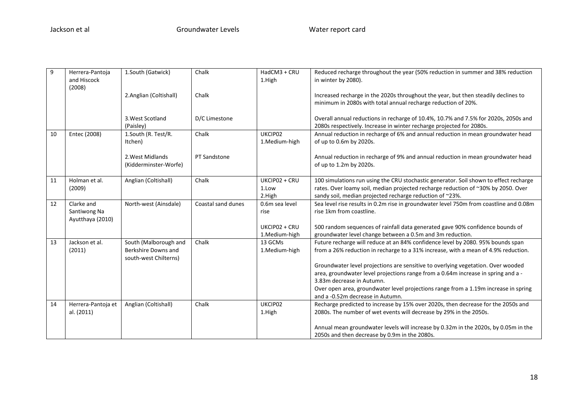| 9  | Herrera-Pantoja<br>and Hiscock<br>(2008)       | 1.South (Gatwick)                                                     | Chalk              | HadCM3 + CRU<br>1.High           | Reduced recharge throughout the year (50% reduction in summer and 38% reduction<br>in winter by 2080).                                                                                                                                 |
|----|------------------------------------------------|-----------------------------------------------------------------------|--------------------|----------------------------------|----------------------------------------------------------------------------------------------------------------------------------------------------------------------------------------------------------------------------------------|
|    |                                                | 2.Anglian (Coltishall)                                                | Chalk              |                                  | Increased recharge in the 2020s throughout the year, but then steadily declines to<br>minimum in 2080s with total annual recharge reduction of 20%.                                                                                    |
|    |                                                | 3. West Scotland<br>(Paisley)                                         | D/C Limestone      |                                  | Overall annual reductions in recharge of 10.4%, 10.7% and 7.5% for 2020s, 2050s and<br>2080s respectively. Increase in winter recharge projected for 2080s.                                                                            |
| 10 | Entec (2008)                                   | 1.South (R. Test/R.<br>Itchen)                                        | Chalk              | UKCIP02<br>1.Medium-high         | Annual reduction in recharge of 6% and annual reduction in mean groundwater head<br>of up to 0.6m by 2020s.                                                                                                                            |
|    |                                                | 2. West Midlands<br>(Kidderminster-Worfe)                             | PT Sandstone       |                                  | Annual reduction in recharge of 9% and annual reduction in mean groundwater head<br>of up to 1.2m by 2020s.                                                                                                                            |
| 11 | Holman et al.<br>(2009)                        | Anglian (Coltishall)                                                  | Chalk              | UKCIP02 + CRU<br>1.Low<br>2.High | 100 simulations run using the CRU stochastic generator. Soil shown to effect recharge<br>rates. Over loamy soil, median projected recharge reduction of ~30% by 2050. Over<br>sandy soil, median projected recharge reduction of ~23%. |
| 12 | Clarke and<br>Santiwong Na<br>Ayutthaya (2010) | North-west (Ainsdale)                                                 | Coastal sand dunes | 0.6m sea level<br>rise           | Sea level rise results in 0.2m rise in groundwater level 750m from coastline and 0.08m<br>rise 1km from coastline.                                                                                                                     |
|    |                                                |                                                                       |                    | UKCIP02 + CRU<br>1.Medium-high   | 500 random sequences of rainfall data generated gave 90% confidence bounds of<br>groundwater level change between a 0.5m and 3m reduction.                                                                                             |
| 13 | Jackson et al.<br>(2011)                       | South (Malborough and<br>Berkshire Downs and<br>south-west Chilterns) | Chalk              | 13 GCMs<br>1.Medium-high         | Future recharge will reduce at an 84% confidence level by 2080. 95% bounds span<br>from a 26% reduction in recharge to a 31% increase, with a mean of 4.9% reduction.                                                                  |
|    |                                                |                                                                       |                    |                                  | Groundwater level projections are sensitive to overlying vegetation. Over wooded<br>area, groundwater level projections range from a 0.64m increase in spring and a -<br>3.83m decrease in Autumn.                                     |
|    |                                                |                                                                       |                    |                                  | Over open area, groundwater level projections range from a 1.19m increase in spring<br>and a -0.52m decrease in Autumn.                                                                                                                |
| 14 | Herrera-Pantoja et<br>al. (2011)               | Anglian (Coltishall)                                                  | Chalk              | UKCIP02<br>1.High                | Recharge predicted to increase by 15% over 2020s, then decrease for the 2050s and<br>2080s. The number of wet events will decrease by 29% in the 2050s.                                                                                |
|    |                                                |                                                                       |                    |                                  | Annual mean groundwater levels will increase by 0.32m in the 2020s, by 0.05m in the<br>2050s and then decrease by 0.9m in the 2080s.                                                                                                   |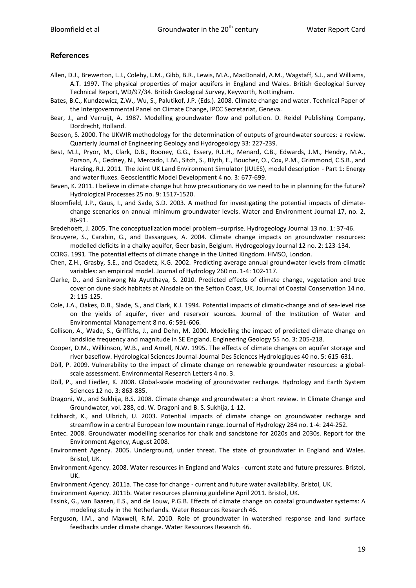# **References**

- Allen, D.J., Brewerton, L.J., Coleby, L.M., Gibb, B.R., Lewis, M.A., MacDonald, A.M., Wagstaff, S.J., and Williams, A.T. 1997. The physical properties of major aquifers in England and Wales. British Geological Survey Technical Report, WD/97/34. British Geological Survey, Keyworth, Nottingham.
- Bates, B.C., Kundzewicz, Z.W., Wu, S., Palutikof, J.P. (Eds.). 2008. Climate change and water. Technical Paper of the Intergovernmental Panel on Climate Change, IPCC Secretariat, Geneva.
- Bear, J., and Verruijt, A. 1987. Modelling groundwater flow and pollution. D. Reidel Publishing Company, Dordrecht, Holland.
- Beeson, S. 2000. The UKWIR methodology for the determination of outputs of groundwater sources: a review. Quarterly Journal of Engineering Geology and Hydrogeology 33: 227-239.
- Best, M.J., Pryor, M., Clark, D.B., Rooney, G.G., Essery, R.L.H., Menard, C.B., Edwards, J.M., Hendry, M.A., Porson, A., Gedney, N., Mercado, L.M., Sitch, S., Blyth, E., Boucher, O., Cox, P.M., Grimmond, C.S.B., and Harding, R.J. 2011. The Joint UK Land Environment Simulator (JULES), model description - Part 1: Energy and water fluxes. Geoscientific Model Development 4 no. 3: 677-699.
- Beven, K. 2011. I believe in climate change but how precautionary do we need to be in planning for the future? Hydrological Processes 25 no. 9: 1517-1520.
- Bloomfield, J.P., Gaus, I., and Sade, S.D. 2003. A method for investigating the potential impacts of climatechange scenarios on annual minimum groundwater levels. Water and Environment Journal 17, no. 2, 86-91.
- Bredehoeft, J. 2005. The conceptualization model problem--surprise. Hydrogeology Journal 13 no. 1: 37-46.
- Brouyere, S., Carabin, G., and Dassargues, A. 2004. Climate change impacts on groundwater resources: modelled deficits in a chalky aquifer, Geer basin, Belgium. Hydrogeology Journal 12 no. 2: 123-134.
- CCIRG. 1991. The potential effects of climate change in the United Kingdom. HMSO, London.
- Chen, Z.H., Grasby, S.E., and Osadetz, K.G. 2002. Predicting average annual groundwater levels from climatic variables: an empirical model. Journal of Hydrology 260 no. 1-4: 102-117.
- Clarke, D., and Sanitwong Na Ayutthaya, S. 2010. Predicted effects of climate change, vegetation and tree cover on dune slack habitats at Ainsdale on the Sefton Coast, UK. Journal of Coastal Conservation 14 no. 2: 115-125.
- Cole, J.A., Oakes, D.B., Slade, S., and Clark, K.J. 1994. Potential impacts of climatic-change and of sea-level rise on the yields of aquifer, river and reservoir sources. Journal of the Institution of Water and Environmental Management 8 no. 6: 591-606.
- Collison, A., Wade, S., Griffiths, J., and Dehn, M. 2000. Modelling the impact of predicted climate change on landslide frequency and magnitude in SE England. Engineering Geology 55 no. 3: 205-218.
- Cooper, D.M., Wilkinson, W.B., and Arnell, N.W. 1995. The effects of climate changes on aquifer storage and river baseflow. Hydrological Sciences Journal-Journal Des Sciences Hydrologiques 40 no. 5: 615-631.
- Döll, P. 2009. Vulnerability to the impact of climate change on renewable groundwater resources: a globalscale assessment. Environmental Research Letters 4 no. 3.
- Döll, P., and Fiedler, K. 2008. Global-scale modeling of groundwater recharge. Hydrology and Earth System Sciences 12 no. 3: 863-885.
- Dragoni, W., and Sukhija, B.S. 2008. Climate change and groundwater: a short review. In Climate Change and Groundwater, vol. 288, ed. W. Dragoni and B. S. Sukhija, 1-12.
- Eckhardt, K., and Ulbrich, U. 2003. Potential impacts of climate change on groundwater recharge and streamflow in a central European low mountain range. Journal of Hydrology 284 no. 1-4: 244-252.
- Entec. 2008. Groundwater modelling scenarios for chalk and sandstone for 2020s and 2030s. Report for the Environment Agency, August 2008.
- Environment Agency. 2005. Underground, under threat. The state of groundwater in England and Wales. Bristol, UK.
- Environment Agency. 2008. Water resources in England and Wales current state and future pressures. Bristol, UK.
- Environment Agency. 2011a. The case for change current and future water availability. Bristol, UK.

Environment Agency. 2011b. Water resources planning guideline April 2011. Bristol, UK.

- Essink, G., van Baaren, E.S., and de Louw, P.G.B. Effects of climate change on coastal groundwater systems: A modeling study in the Netherlands. Water Resources Research 46.
- Ferguson, I.M., and Maxwell, R.M. 2010. Role of groundwater in watershed response and land surface feedbacks under climate change. Water Resources Research 46.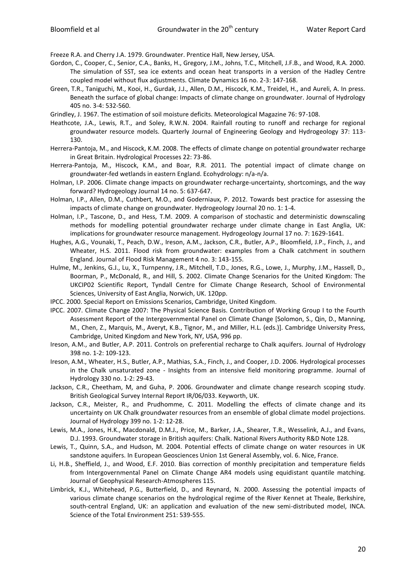Freeze R.A. and Cherry J.A. 1979. Groundwater. Prentice Hall, New Jersey, USA.

- Gordon, C., Cooper, C., Senior, C.A., Banks, H., Gregory, J.M., Johns, T.C., Mitchell, J.F.B., and Wood, R.A. 2000. The simulation of SST, sea ice extents and ocean heat transports in a version of the Hadley Centre coupled model without flux adjustments. Climate Dynamics 16 no. 2-3: 147-168.
- Green, T.R., Taniguchi, M., Kooi, H., Gurdak, J.J., Allen, D.M., Hiscock, K.M., Treidel, H., and Aureli, A. In press. Beneath the surface of global change: Impacts of climate change on groundwater. Journal of Hydrology 405 no. 3-4: 532-560.
- Grindley, J. 1967. The estimation of soil moisture deficits. Meteorological Magazine 76: 97-108.
- Heathcote, J.A., Lewis, R.T., and Soley, R.W.N. 2004. Rainfall routing to runoff and recharge for regional groundwater resource models. Quarterly Journal of Engineering Geology and Hydrogeology 37: 113- 130.
- Herrera-Pantoja, M., and Hiscock, K.M. 2008. The effects of climate change on potential groundwater recharge in Great Britain. Hydrological Processes 22: 73-86.
- Herrera-Pantoja, M., Hiscock, K.M., and Boar, R.R. 2011. The potential impact of climate change on groundwater-fed wetlands in eastern England. Ecohydrology: n/a-n/a.
- Holman, I.P. 2006. Climate change impacts on groundwater recharge-uncertainty, shortcomings, and the way forward? Hydrogeology Journal 14 no. 5: 637-647.
- Holman, I.P., Allen, D.M., Cuthbert, M.O., and Goderniaux, P. 2012. Towards best practice for assessing the impacts of climate change on groundwater. Hydrogeology Journal 20 no. 1: 1-4.
- Holman, I.P., Tascone, D., and Hess, T.M. 2009. A comparison of stochastic and deterministic downscaling methods for modelling potential groundwater recharge under climate change in East Anglia, UK: implications for groundwater resource management. Hydrogeology Journal 17 no. 7: 1629-1641.
- Hughes, A.G., Vounaki, T., Peach, D.W., Ireson, A.M., Jackson, C.R., Butler, A.P., Bloomfield, J.P., Finch, J., and Wheater, H.S. 2011. Flood risk from groundwater: examples from a Chalk catchment in southern England. Journal of Flood Risk Management 4 no. 3: 143-155.
- Hulme, M., Jenkins, G.J., Lu, X., Turnpenny, J.R., Mitchell, T.D., Jones, R.G., Lowe, J., Murphy, J.M., Hassell, D., Boorman, P., McDonald, R., and Hill, S. 2002. Climate Change Scenarios for the United Kingdom: The UKCIP02 Scientific Report, Tyndall Centre for Climate Change Research, School of Environmental Sciences, University of East Anglia, Norwich, UK. 120pp.
- IPCC. 2000. Special Report on Emissions Scenarios, Cambridge, United Kingdom.
- IPCC. 2007. Climate Change 2007: The Physical Science Basis. Contribution of Working Group I to the Fourth Assessment Report of the Intergovernmental Panel on Climate Change [Solomon, S., Qin, D., Manning, M., Chen, Z., Marquis, M., Averyt, K.B., Tignor, M., and Miller, H.L. (eds.)]. Cambridge University Press, Cambridge, United Kingdom and New York, NY, USA, 996 pp.
- Ireson, A.M., and Butler, A.P. 2011. Controls on preferential recharge to Chalk aquifers. Journal of Hydrology 398 no. 1-2: 109-123.
- Ireson, A.M., Wheater, H.S., Butler, A.P., Mathias, S.A., Finch, J., and Cooper, J.D. 2006. Hydrological processes in the Chalk unsaturated zone - Insights from an intensive field monitoring programme. Journal of Hydrology 330 no. 1-2: 29-43.
- Jackson, C.R., Cheetham, M, and Guha, P. 2006. Groundwater and climate change research scoping study. British Geological Survey Internal Report IR/06/033. Keyworth, UK.
- Jackson, C.R., Meister, R., and Prudhomme, C. 2011. Modelling the effects of climate change and its uncertainty on UK Chalk groundwater resources from an ensemble of global climate model projections. Journal of Hydrology 399 no. 1-2: 12-28.
- Lewis, M.A., Jones, H.K., Macdonald, D.M.J., Price, M., Barker, J.A., Shearer, T.R., Wesselink, A.J., and Evans, D.J. 1993. Groundwater storage in British aquifers: Chalk. National Rivers Authority R&D Note 128.
- Lewis, T., Quinn, S.A., and Hudson, M. 2004. Potential effects of climate change on water resources in UK sandstone aquifers. In European Geosciences Union 1st General Assembly, vol. 6. Nice, France.
- Li, H.B., Sheffield, J., and Wood, E.F. 2010. Bias correction of monthly precipitation and temperature fields from Intergovernmental Panel on Climate Change AR4 models using equidistant quantile matching. Journal of Geophysical Research-Atmospheres 115.
- Limbrick, K.J., Whitehead, P.G., Butterfield, D., and Reynard, N. 2000. Assessing the potential impacts of various climate change scenarios on the hydrological regime of the River Kennet at Theale, Berkshire, south-central England, UK: an application and evaluation of the new semi-distributed model, INCA. Science of the Total Environment 251: 539-555.